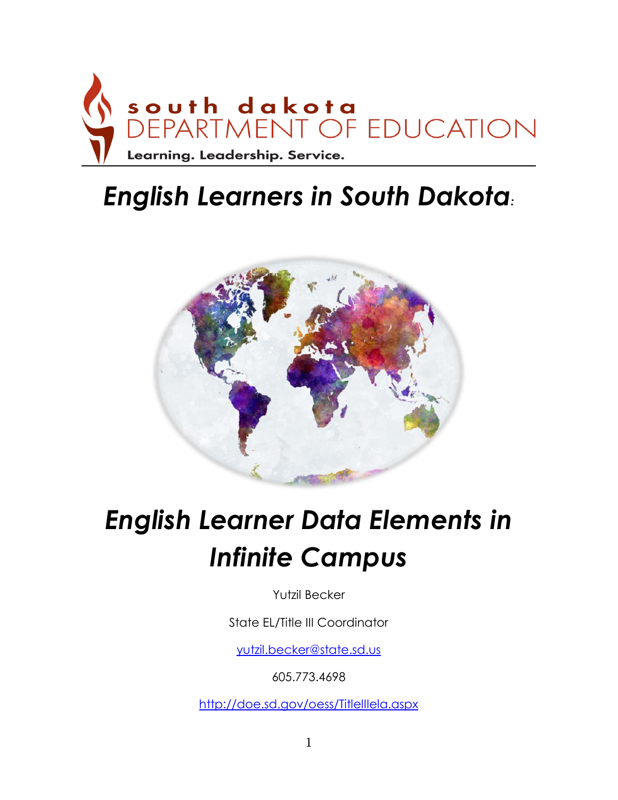

## *English Learners in South Dakota:*



# *English Learner Data Elements in Infinite Campus*

Yutzil Becker

State EL/Title III Coordinator

[yutzil.becker@state.sd.us](mailto:yutzil.becker@state.sd.us)

605.773.4698

<http://doe.sd.gov/oess/TitleIIIela.aspx>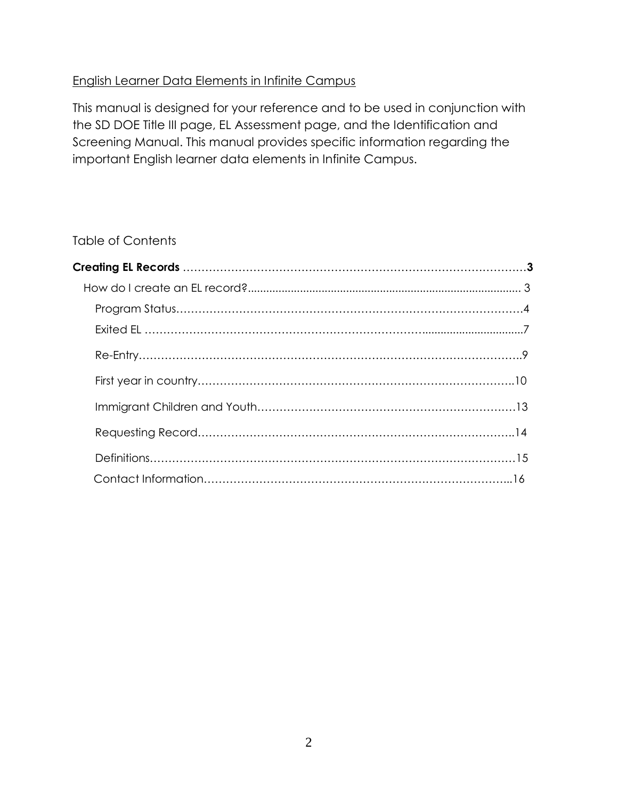#### English Learner Data Elements in Infinite Campus

This manual is designed for your reference and to be used in conjunction with the SD DOE Title III page, EL Assessment page, and the Identification and Screening Manual. This manual provides specific information regarding the important English learner data elements in Infinite Campus.

#### Table of Contents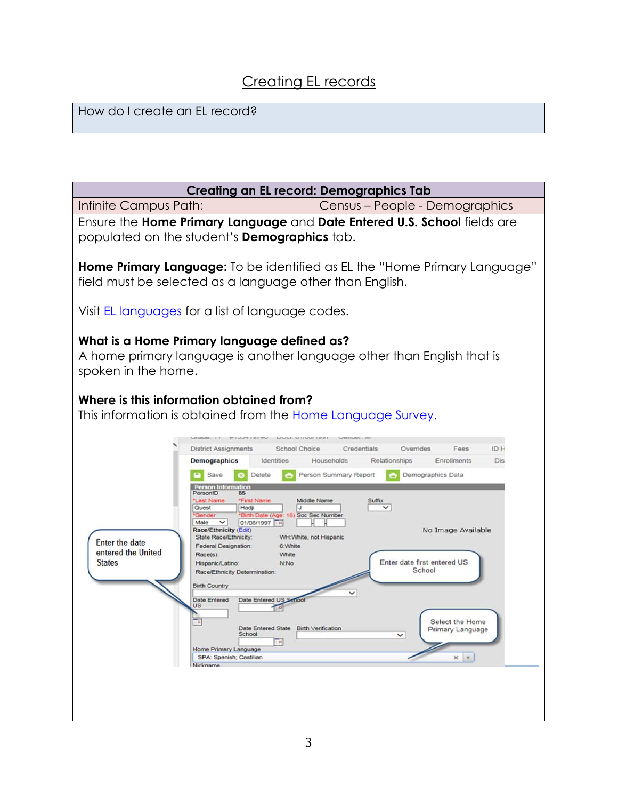### Creating EL records

How do I create an EL record?

| <b>Creating an EL record: Demographics Tab</b>                                                                                                                                                                                                                                                                                                                                                                                                                                                                                                                                                                                                                                                                                                                                     |                                                                                                                                                                                                                                                                                                                                                                            |
|------------------------------------------------------------------------------------------------------------------------------------------------------------------------------------------------------------------------------------------------------------------------------------------------------------------------------------------------------------------------------------------------------------------------------------------------------------------------------------------------------------------------------------------------------------------------------------------------------------------------------------------------------------------------------------------------------------------------------------------------------------------------------------|----------------------------------------------------------------------------------------------------------------------------------------------------------------------------------------------------------------------------------------------------------------------------------------------------------------------------------------------------------------------------|
| Infinite Campus Path:                                                                                                                                                                                                                                                                                                                                                                                                                                                                                                                                                                                                                                                                                                                                                              | Census – People - Demographics                                                                                                                                                                                                                                                                                                                                             |
| Ensure the Home Primary Language and Date Entered U.S. School fields are<br>populated on the student's <b>Demographics</b> tab.                                                                                                                                                                                                                                                                                                                                                                                                                                                                                                                                                                                                                                                    |                                                                                                                                                                                                                                                                                                                                                                            |
| <b>Home Primary Language:</b> To be identified as EL the "Home Primary Language"<br>field must be selected as a language other than English.                                                                                                                                                                                                                                                                                                                                                                                                                                                                                                                                                                                                                                       |                                                                                                                                                                                                                                                                                                                                                                            |
| Visit <b>EL</b> languages for a list of language codes.                                                                                                                                                                                                                                                                                                                                                                                                                                                                                                                                                                                                                                                                                                                            |                                                                                                                                                                                                                                                                                                                                                                            |
| What is a Home Primary language defined as?<br>A home primary language is another language other than English that is<br>spoken in the home.                                                                                                                                                                                                                                                                                                                                                                                                                                                                                                                                                                                                                                       |                                                                                                                                                                                                                                                                                                                                                                            |
| Where is this information obtained from?<br>This information is obtained from the Home Language Survey.                                                                                                                                                                                                                                                                                                                                                                                                                                                                                                                                                                                                                                                                            |                                                                                                                                                                                                                                                                                                                                                                            |
| ORBUD, II #133413740<br>DOD, UTIVOLIDAT<br><b>District Assignments</b><br>School Choice<br><b>Demographics</b><br>Identities<br>Save<br>Delete<br>Person Inform<br>PersonID<br>85<br>'Last Name<br>"First Name<br>Quest<br>Hadji<br>Birth Date (Age: 18) Soc Sec Number<br>Gender<br>Male<br>$\checkmark$<br>01/08/1997<br>$\blacksquare$<br>Race/Ethnicity (Edit)<br>State Race/Ethnicity:<br>WH: White, not Hispanic<br><b>Enter the date</b><br>Federal Designation:<br>6:White<br>entered the United<br>White<br>Race(s):<br><b>States</b><br>Hispanic/Latino:<br>N:No<br>Race/Ethnicity Determination:<br><b>Birth Country</b><br>Date Entered<br>Date Entered US<br>US<br>Date Entered State<br>School<br>Πø<br>Home Primary Language<br>SPA: Spanish; Castilian<br>Nickname | <b>CHARLES</b> - IA<br>ID H<br>Credentials<br>Overrides<br>Fees<br>Households<br>Enrollments<br>Relationships<br>Dis<br>Demographics Data<br>Person Summary Report<br>Middle Name<br>Suffix<br>No Image Available<br>Enter date first entered US<br>School<br>Select the Home<br>Birth Verification<br>Primary Language<br>$\check{~}$<br>$\blacktriangledown$<br>$\times$ |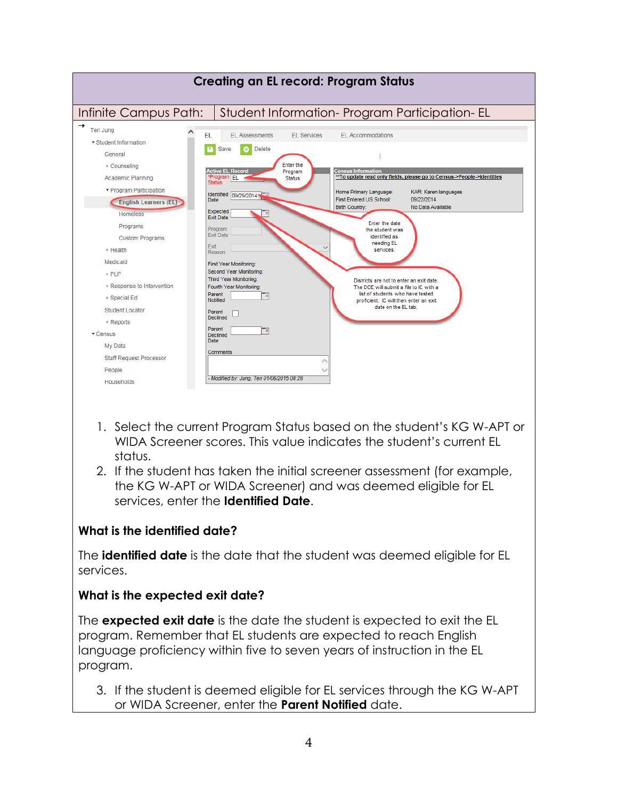

- 1. Select the current Program Status based on the student's KG W-APT or WIDA Screener scores. This value indicates the student's current EL status.
- 2. If the student has taken the initial screener assessment (for example, the KG W-APT or WIDA Screener) and was deemed eligible for EL services, enter the **Identified Date**.

#### **What is the identified date?**

The **identified date** is the date that the student was deemed eligible for EL services.

#### **What is the expected exit date?**

The **expected exit date** is the date the student is expected to exit the EL program. Remember that EL students are expected to reach English language proficiency within five to seven years of instruction in the EL program.

3. If the student is deemed eligible for EL services through the KG W-APT or WIDA Screener, enter the **Parent Notified** date.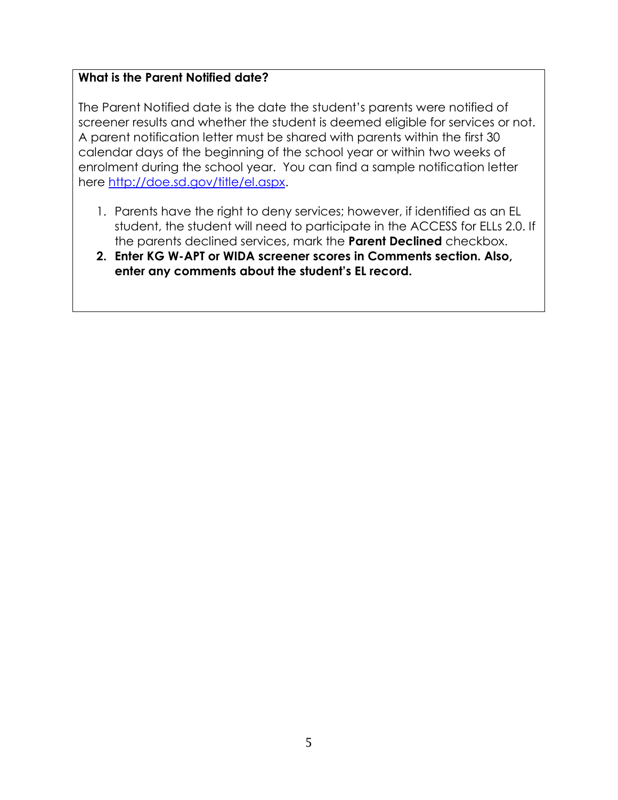#### **What is the Parent Notified date?**

The Parent Notified date is the date the student's parents were notified of screener results and whether the student is deemed eligible for services or not. A parent notification letter must be shared with parents within the first 30 calendar days of the beginning of the school year or within two weeks of enrolment during the school year. You can find a sample notification letter here [http://doe.sd.gov/title/el.aspx.](http://doe.sd.gov/title/el.aspx)

- 1. Parents have the right to deny services; however, if identified as an EL student, the student will need to participate in the ACCESS for ELLs 2.0. If the parents declined services, mark the **Parent Declined** checkbox.
- **2. Enter KG W-APT or WIDA screener scores in Comments section. Also, enter any comments about the student's EL record.**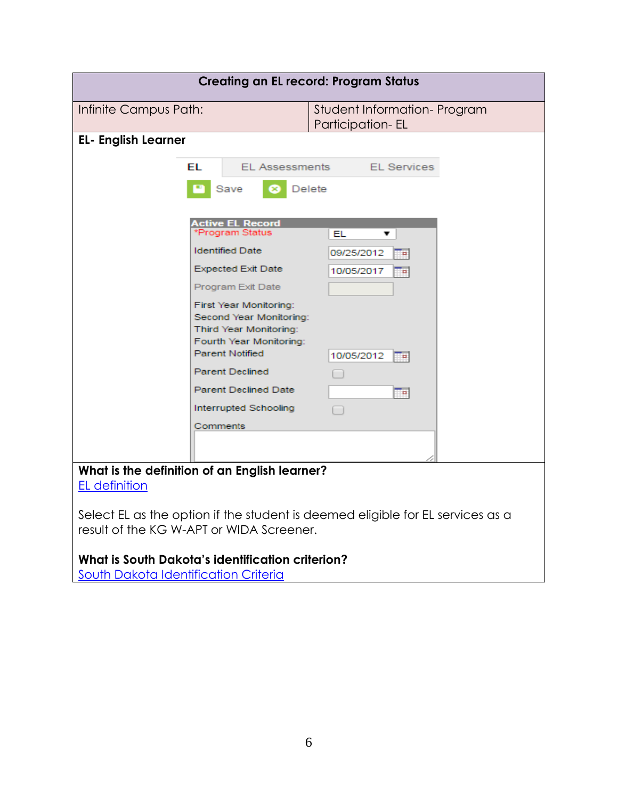|                                                                                          |                                                                                                        | <b>Creating an EL record: Program Status</b>                                   |
|------------------------------------------------------------------------------------------|--------------------------------------------------------------------------------------------------------|--------------------------------------------------------------------------------|
| Infinite Campus Path:                                                                    |                                                                                                        | Student Information- Program<br>Participation-EL                               |
| <b>EL- English Learner</b>                                                               |                                                                                                        |                                                                                |
| ΕL                                                                                       | <b>EL Assessments</b>                                                                                  | <b>EL Services</b>                                                             |
|                                                                                          | Save                                                                                                   | Delete                                                                         |
|                                                                                          | <b>Active EL Record</b><br>*Program Status                                                             | EL                                                                             |
|                                                                                          | <b>Identified Date</b>                                                                                 | 09/25/2012<br>T¤.                                                              |
|                                                                                          | <b>Expected Exit Date</b>                                                                              | 10/05/2017<br>Ħ                                                                |
|                                                                                          | Program Exit Date                                                                                      |                                                                                |
|                                                                                          | First Year Monitoring:<br>Second Year Monitoring:<br>Third Year Monitoring:<br>Fourth Year Monitoring: |                                                                                |
|                                                                                          | <b>Parent Notified</b>                                                                                 | 10/05/2012<br>- 21                                                             |
|                                                                                          | <b>Parent Declined</b>                                                                                 |                                                                                |
|                                                                                          | <b>Parent Declined Date</b>                                                                            | ℡                                                                              |
|                                                                                          | Interrupted Schooling                                                                                  |                                                                                |
|                                                                                          | Comments                                                                                               |                                                                                |
| What is the definition of an English learner?<br><b>EL</b> definition                    |                                                                                                        |                                                                                |
| result of the KG W-APT or WIDA Screener.                                                 |                                                                                                        | Select EL as the option if the student is deemed eligible for EL services as a |
| What is South Dakota's identification criterion?<br>South Dakota Identification Criteria |                                                                                                        |                                                                                |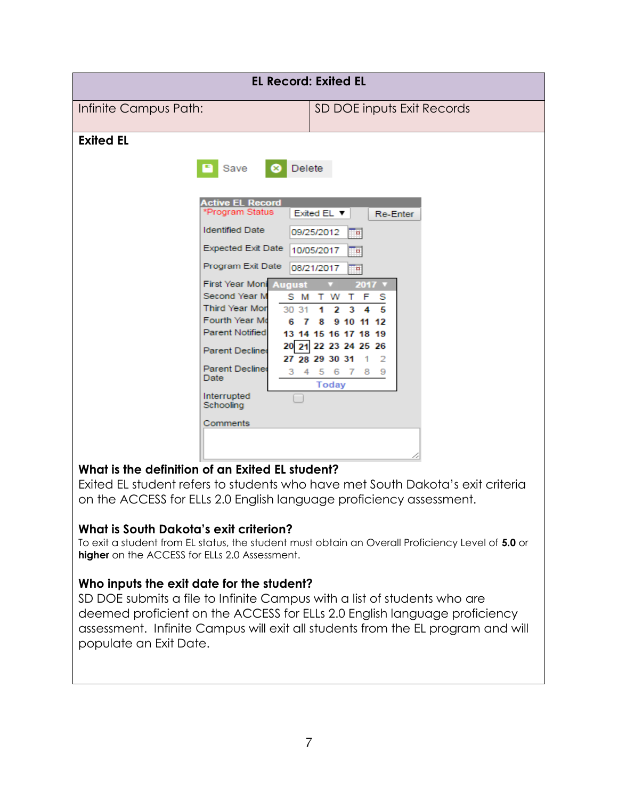|                                                                                                                                                                                                                                                                                                                      | <b>EL Record: Exited EL</b>                                                                                                                                   |
|----------------------------------------------------------------------------------------------------------------------------------------------------------------------------------------------------------------------------------------------------------------------------------------------------------------------|---------------------------------------------------------------------------------------------------------------------------------------------------------------|
| Infinite Campus Path:                                                                                                                                                                                                                                                                                                | SD DOE inputs Exit Records                                                                                                                                    |
| <b>Exited EL</b><br>Delete<br>Save<br><b>EXI</b><br><b>Active EL Record</b><br>*Program Status<br><b>Identified Date</b><br><b>Expected Exit Date</b><br>Program Exit Date<br><b>First Year Moni August</b><br>Second Year M<br>S M<br>Third Year Mor<br>30 31<br>Fourth Year Mo<br>6<br>7<br><b>Parent Notified</b> | Exited EL V<br>Re-Enter<br>09/25/2012<br>℡<br>10/05/2017<br>₩<br>08/21/2017<br>℡<br>$2017$ $*$<br>T W<br>T F<br>s<br>1<br>2<br>5<br>3<br>4<br>9 10 11 12<br>8 |
| <b>Parent Declined</b><br><b>Parent Declined</b><br>з<br>Date<br>Interrupted<br>Schooling<br>Comments                                                                                                                                                                                                                | 13 14 15 16 17 18 19<br>20 21 22 23 24 25 26<br>27 28 29 30 31 1<br>$\mathcal{P}$<br>4 5 6 7 8<br>-9<br>Today                                                 |

#### **What is the definition of an Exited EL student?**

Exited EL student refers to students who have met South Dakota's exit criteria on the ACCESS for ELLs 2.0 English language proficiency assessment.

#### **What is South Dakota's exit criterion?**

To exit a student from EL status, the student must obtain an Overall Proficiency Level of **5.0** or **higher** on the ACCESS for ELLs 2.0 Assessment.

#### **Who inputs the exit date for the student?**

SD DOE submits a file to Infinite Campus with a list of students who are deemed proficient on the ACCESS for ELLs 2.0 English language proficiency assessment. Infinite Campus will exit all students from the EL program and will populate an Exit Date.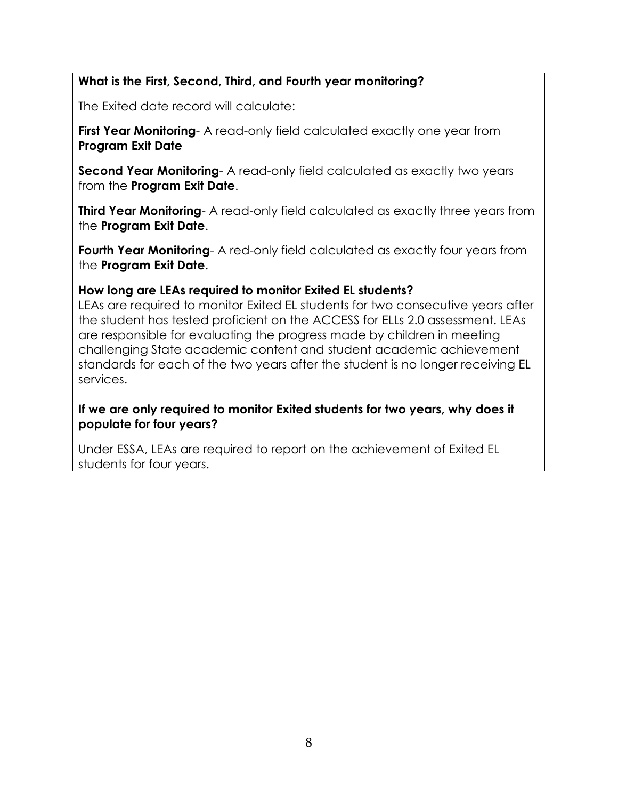#### **What is the First, Second, Third, and Fourth year monitoring?**

The Exited date record will calculate:

**First Year Monitoring**- A read-only field calculated exactly one year from **Program Exit Date**

**Second Year Monitoring**- A read-only field calculated as exactly two years from the **Program Exit Date**.

**Third Year Monitoring-** A read-only field calculated as exactly three years from the **Program Exit Date**.

**Fourth Year Monitoring**- A red-only field calculated as exactly four years from the **Program Exit Date**.

#### **How long are LEAs required to monitor Exited EL students?**

LEAs are required to monitor Exited EL students for two consecutive years after the student has tested proficient on the ACCESS for ELLs 2.0 assessment. LEAs are responsible for evaluating the progress made by children in meeting challenging State academic content and student academic achievement standards for each of the two years after the student is no longer receiving EL services.

#### **If we are only required to monitor Exited students for two years, why does it populate for four years?**

Under ESSA, LEAs are required to report on the achievement of Exited EL students for four years.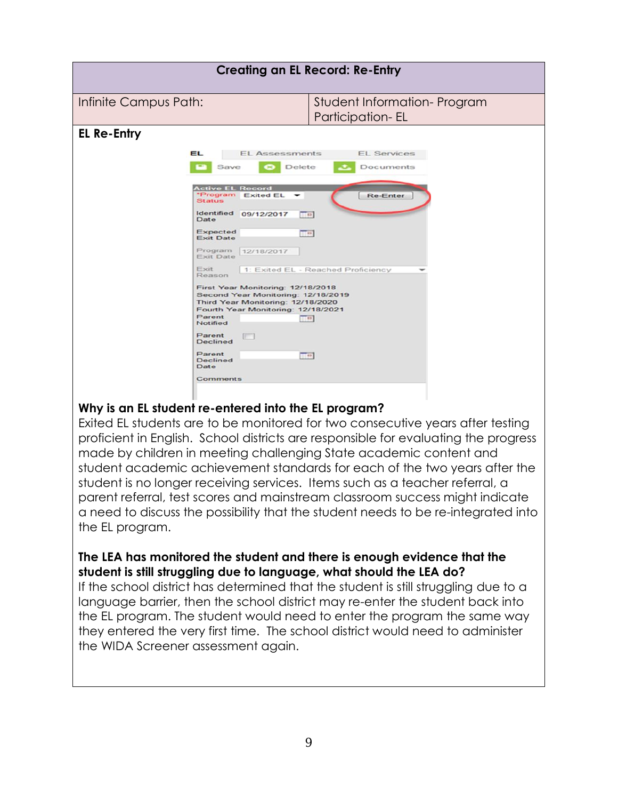| <b>Creating an EL Record: Re-Entry</b>                                                                                                                                                                                                                                                                                                                                                                                                                 |                                                                                            |  |
|--------------------------------------------------------------------------------------------------------------------------------------------------------------------------------------------------------------------------------------------------------------------------------------------------------------------------------------------------------------------------------------------------------------------------------------------------------|--------------------------------------------------------------------------------------------|--|
|                                                                                                                                                                                                                                                                                                                                                                                                                                                        |                                                                                            |  |
| Infinite Campus Path:                                                                                                                                                                                                                                                                                                                                                                                                                                  | Student Information- Program<br>Participation-EL                                           |  |
| <b>EL Re-Entry</b>                                                                                                                                                                                                                                                                                                                                                                                                                                     |                                                                                            |  |
| EL<br><b>EL Assessments</b>                                                                                                                                                                                                                                                                                                                                                                                                                            | <b>EL Services</b>                                                                         |  |
| Delete<br>Save                                                                                                                                                                                                                                                                                                                                                                                                                                         | Documents                                                                                  |  |
| <b>Active EL Record</b><br>*Program Exited EL Y<br><b>Status</b><br>Identified<br>09/12/2017<br>Date<br>Expected<br><b>Exit Date</b><br>Program<br>12/18/2017<br>Exit Date<br>Exit<br>Reason<br>First Year Monitoring: 12/18/2018<br>Second Year Monitoring: 12/18/2019<br>Third Year Monitoring: 12/18/2020<br>Fourth Year Monitoring: 12/18/2021<br>Parent<br>Notified<br>Parent<br><b>Declined</b><br>Parent<br><b>Declined</b><br>Date<br>Comments | Re-Enter<br>$-122$<br><b>TEMP</b><br>1: Exited EL - Reached Proficiency<br>11.63<br>$-100$ |  |

#### **Why is an EL student re-entered into the EL program?**

Exited EL students are to be monitored for two consecutive years after testing proficient in English. School districts are responsible for evaluating the progress made by children in meeting challenging State academic content and student academic achievement standards for each of the two years after the student is no longer receiving services. Items such as a teacher referral, a parent referral, test scores and mainstream classroom success might indicate a need to discuss the possibility that the student needs to be re-integrated into the EL program.

#### **The LEA has monitored the student and there is enough evidence that the student is still struggling due to language, what should the LEA do?**

If the school district has determined that the student is still struggling due to a language barrier, then the school district may re-enter the student back into the EL program. The student would need to enter the program the same way they entered the very first time. The school district would need to administer the WIDA Screener assessment again.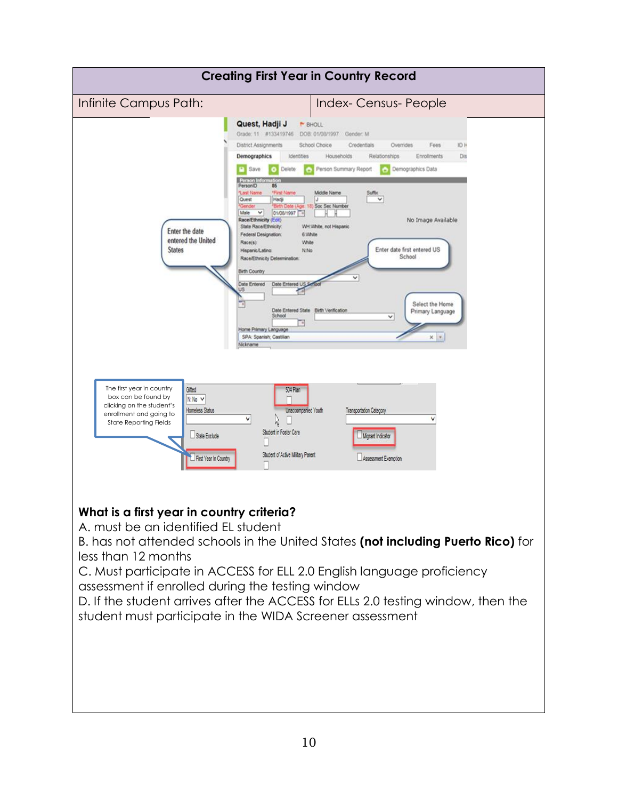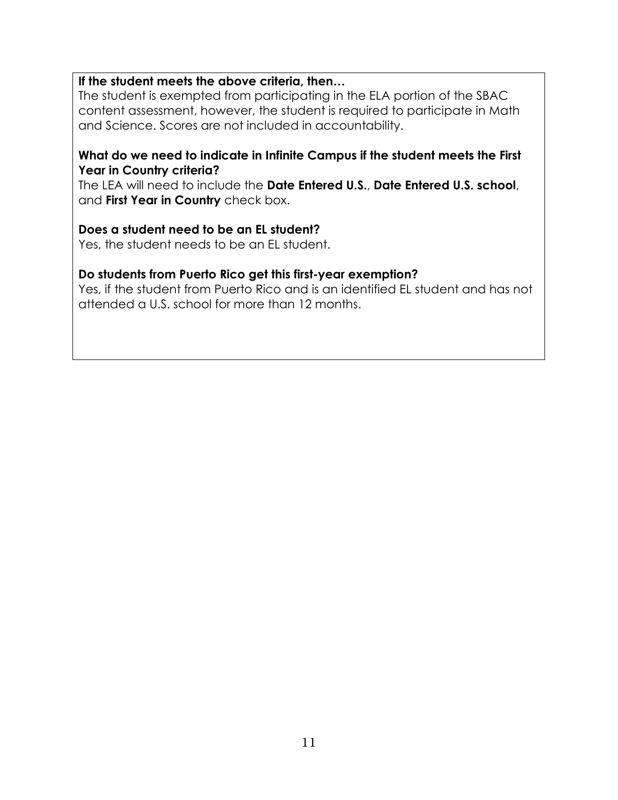#### **If the student meets the above criteria, then…**

The student is exempted from participating in the ELA portion of the SBAC content assessment, however, the student is required to participate in Math and Science. Scores are not included in accountability.

#### **What do we need to indicate in Infinite Campus if the student meets the First Year in Country criteria?**

The LEA will need to include the **Date Entered U.S.**, **Date Entered U.S. school**, and **First Year in Country** check box.

#### **Does a student need to be an EL student?**

Yes, the student needs to be an EL student.

#### **Do students from Puerto Rico get this first-year exemption?**

Yes, if the student from Puerto Rico and is an identified EL student and has not attended a U.S. school for more than 12 months.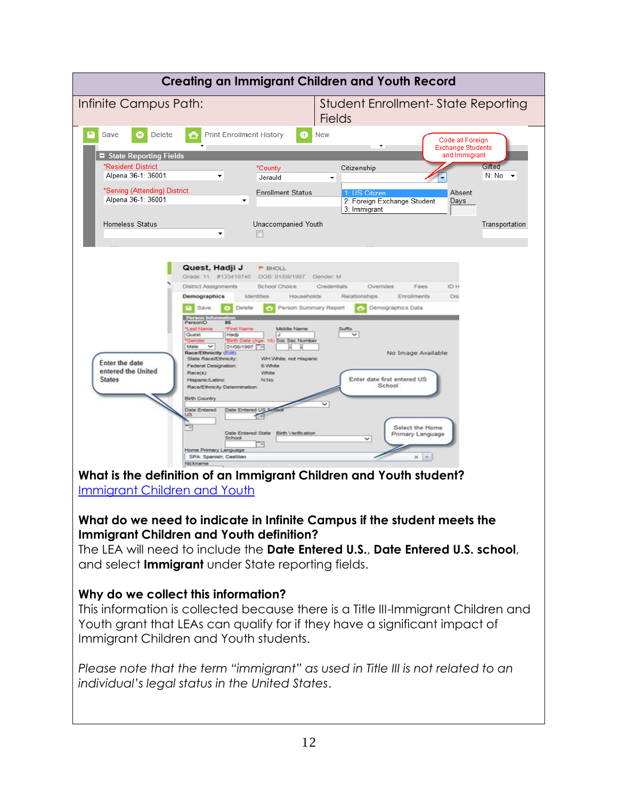| Infinite Campus Path:                                                                                                                                                                                                                                                                                                                                                                                                                                                                                                                                                                                                                                                                                                                                                                                                                                                                                                                                                                                                                                                                                                                                                                                                                                                                                                                                                                                                                                                                                                                                                                          | <b>Student Enrollment-State Reporting</b>                                                                                                                                                                                                            |
|------------------------------------------------------------------------------------------------------------------------------------------------------------------------------------------------------------------------------------------------------------------------------------------------------------------------------------------------------------------------------------------------------------------------------------------------------------------------------------------------------------------------------------------------------------------------------------------------------------------------------------------------------------------------------------------------------------------------------------------------------------------------------------------------------------------------------------------------------------------------------------------------------------------------------------------------------------------------------------------------------------------------------------------------------------------------------------------------------------------------------------------------------------------------------------------------------------------------------------------------------------------------------------------------------------------------------------------------------------------------------------------------------------------------------------------------------------------------------------------------------------------------------------------------------------------------------------------------|------------------------------------------------------------------------------------------------------------------------------------------------------------------------------------------------------------------------------------------------------|
|                                                                                                                                                                                                                                                                                                                                                                                                                                                                                                                                                                                                                                                                                                                                                                                                                                                                                                                                                                                                                                                                                                                                                                                                                                                                                                                                                                                                                                                                                                                                                                                                | <b>Fields</b>                                                                                                                                                                                                                                        |
| <b>Print Enrollment History</b><br>Save<br><b>Delete</b><br>Θ<br><b>New</b><br>☎<br>State Reporting Fields                                                                                                                                                                                                                                                                                                                                                                                                                                                                                                                                                                                                                                                                                                                                                                                                                                                                                                                                                                                                                                                                                                                                                                                                                                                                                                                                                                                                                                                                                     | Code all Foreign<br>۰<br><b>Exchange Students</b><br>and Immigrant                                                                                                                                                                                   |
| *Resident District<br>*County<br>Alpena 36-1: 36001<br>Jerauld<br>*Serving (Attending) District<br><b>Enrollment Status</b><br>Alpena 36-1: 36001<br>٠                                                                                                                                                                                                                                                                                                                                                                                                                                                                                                                                                                                                                                                                                                                                                                                                                                                                                                                                                                                                                                                                                                                                                                                                                                                                                                                                                                                                                                         | Gifted<br>Citizenship<br>N: No<br>▼<br>Absent<br>1: US Citizen<br>2: Foreign Exchange Student<br>Days                                                                                                                                                |
| <b>Homeless Status</b><br><b>Unaccompanied Youth</b><br>E                                                                                                                                                                                                                                                                                                                                                                                                                                                                                                                                                                                                                                                                                                                                                                                                                                                                                                                                                                                                                                                                                                                                                                                                                                                                                                                                                                                                                                                                                                                                      | 3: Immigrant<br>Transportation                                                                                                                                                                                                                       |
| Quest, Hadji J<br>P BHOLL<br>Grade: 11 #133419746<br>DOB: 01/08/1997 Gender: M<br>District Assignments<br>School Choice<br>Demographics<br>Identities<br>Households<br>Person Summary Report<br>Delete<br>Save<br>Person<br>85<br>PersonID<br><b>Last Name</b><br>"First Neme<br>Middle Name<br>Quest<br>Hadi<br>Birth Date (A<br>Soc Sec Nur<br>01/08/1997<br>Male<br>Race/Ethnicity (Edit)<br>State Race/Ethnicity:<br>WH.White, not Hispanic<br>Enter the date<br>Federal Designation:<br>6. Vihitle<br>entered the United<br>$Racco(s)$ :<br>White<br><b>States</b><br>Hispanic/Latino:<br>N:No<br>Race/Ethnicity Determination.<br>Birth Country<br>Date Entered<br>Date Entered L<br>JS<br>Date Entered State<br>Birth Verificatio<br>School<br>Home Primary Language<br>SPA: Spanish; Castilian<br>Nickname<br>What is the definition of an Immigrant Children and Youth student?<br>Immigrant Children and Youth<br>What do we need to indicate in Infinite Campus if the student meets the<br><b>Immigrant Children and Youth definition?</b><br>The LEA will need to include the Date Entered U.S., Date Entered U.S. school,<br>and select <b>Immigrant</b> under State reporting fields.<br>Why do we collect this information?<br>This information is collected because there is a Title III-Immigrant Children and<br>Youth grant that LEAs can qualify for if they have a significant impact of<br>Immigrant Children and Youth students.<br>Please note that the term "immigrant" as used in Title III is not related to an<br>individual's legal status in the United States. | Credentials<br>Overrides<br><b>ID</b> H<br>Fees<br>Relationships<br>Enrollments<br>Dis<br>Demographics Data<br>No Image Available<br>Enter date first entered US<br>School<br>Select the Home<br>Primary Language<br>$\check{~}$<br>$\times$ $\cdot$ |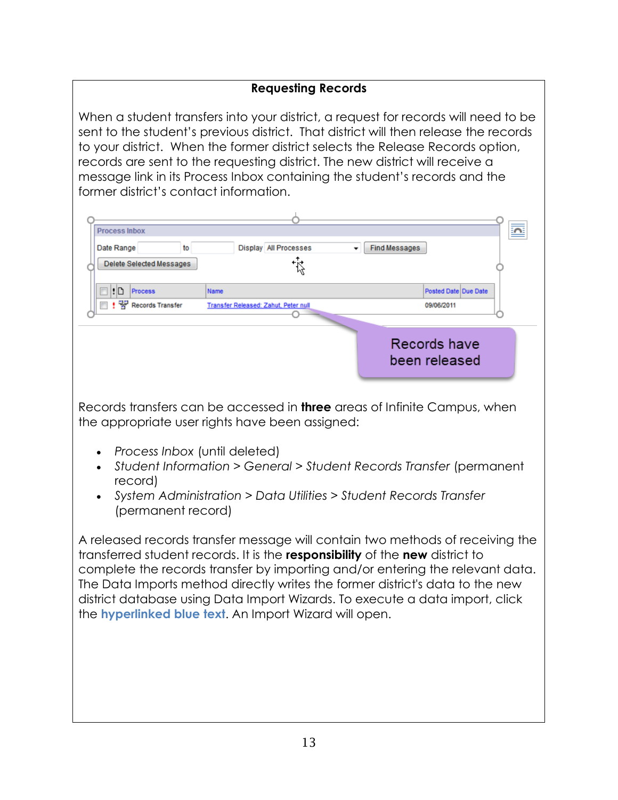#### **Requesting Records**

When a student transfers into your district, a request for records will need to be sent to the student's previous district. That district will then release the records to your district. When the former district selects the Release Records option, records are sent to the requesting district. The new district will receive a message link in its Process Inbox containing the student's records and the former district's contact information.

| <b>Process Inbox</b>      |                                      |                             |
|---------------------------|--------------------------------------|-----------------------------|
| Date Range<br>to          | Display All Processes                | <b>Find Messages</b>        |
| Delete Selected Messages  | $\mathbb{Z}^r$                       |                             |
| ۱h<br><b>Process</b>      | Name                                 | <b>Posted Date Due Date</b> |
| • 뭘 Records Transfer<br>П | Transfer Released: Zahut, Peter null | 09/06/2011                  |
|                           |                                      |                             |
|                           |                                      |                             |
|                           |                                      | Records have                |
|                           |                                      | been released               |

Records transfers can be accessed in **three** areas of Infinite Campus, when the appropriate user rights have been assigned:

- *Process Inbox* (until deleted)
- *Student Information > General > Student Records Transfer* (permanent record)
- *System Administration > Data Utilities > Student Records Transfer* (permanent record)

A released records transfer message will contain two methods of receiving the transferred student records. It is the **responsibility** of the **new** district to complete the records transfer by importing and/or entering the relevant data. The Data Imports method directly writes the former district's data to the new district database using Data Import Wizards. To execute a data import, click the **hyperlinked blue text**. An Import Wizard will open.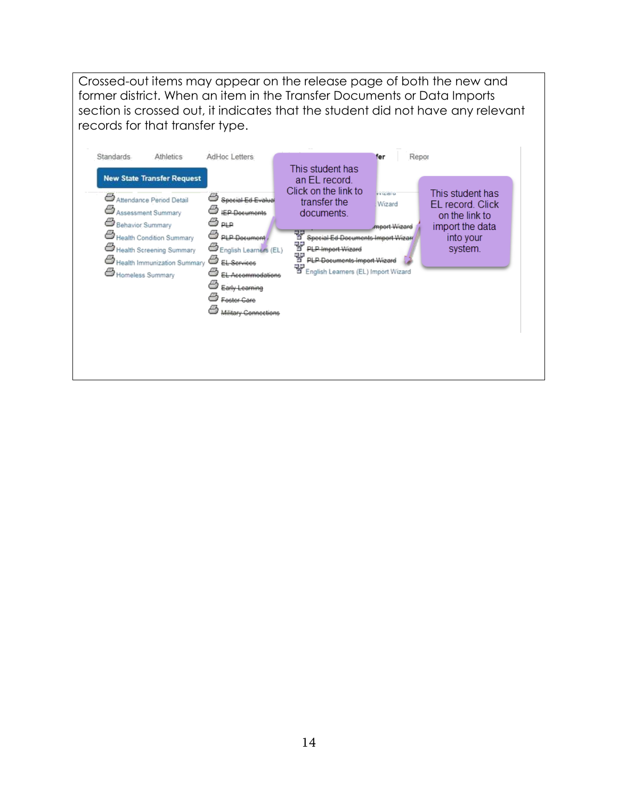Crossed-out items may appear on the release page of both the new and former district. When an item in the Transfer Documents or Data Imports section is crossed out, it indicates that the student did not have any relevant records for that transfer type.

| Health Screening Summary<br>苦<br>Ő<br>Ő<br>PLP Documents Import Wizard<br>Health Immunization Summary<br>EL Services<br>법<br>참 English Learners (EL) Import Wizard<br>G<br>Homeless Summary<br>Accommodations<br>e<br>Early Learning<br>Military Connections | mport Wizard | documents.<br>퍟<br>Special Ed Documents Import Wizarr<br>떃<br>PLP-Import-Wizard | ⇔<br><b>IEP Documents</b><br>⇔<br><b>PLP</b><br>⇔<br>PLP Document<br>English Learners (EL) | Assessment Summary<br>Health Condition Summary | Behavior Summary |
|--------------------------------------------------------------------------------------------------------------------------------------------------------------------------------------------------------------------------------------------------------------|--------------|---------------------------------------------------------------------------------|--------------------------------------------------------------------------------------------|------------------------------------------------|------------------|
|--------------------------------------------------------------------------------------------------------------------------------------------------------------------------------------------------------------------------------------------------------------|--------------|---------------------------------------------------------------------------------|--------------------------------------------------------------------------------------------|------------------------------------------------|------------------|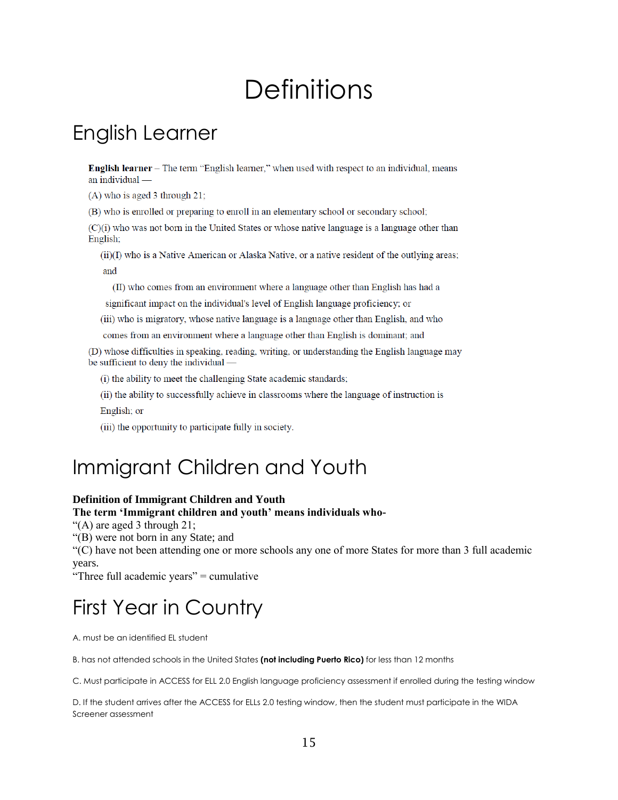## **Definitions**

### English Learner

**English learner** – The term "English learner," when used with respect to an individual, means an individual

 $(A)$  who is aged 3 through 21;

(B) who is enrolled or preparing to enroll in an elementary school or secondary school;

(C)(i) who was not born in the United States or whose native language is a language other than English;

(ii)(I) who is a Native American or Alaska Native, or a native resident of the outlying areas; and

(II) who comes from an environment where a language other than English has had a

significant impact on the individual's level of English language proficiency; or

(iii) who is migratory, whose native language is a language other than English, and who

comes from an environment where a language other than English is dominant; and

(D) whose difficulties in speaking, reading, writing, or understanding the English language may be sufficient to deny the individual —

(i) the ability to meet the challenging State academic standards;

(ii) the ability to successfully achieve in classrooms where the language of instruction is

English; or

(iii) the opportunity to participate fully in society.

### Immigrant Children and Youth

#### **Definition of Immigrant Children and Youth**

**The term 'Immigrant children and youth' means individuals who-**

"(A) are aged 3 through 21;

"(B) were not born in any State; and

"(C) have not been attending one or more schools any one of more States for more than 3 full academic years.

"Three full academic years" = cumulative

### First Year in Country

A. must be an identified EL student

B. has not attended schools in the United States **(not including Puerto Rico)** for less than 12 months

C. Must participate in ACCESS for ELL 2.0 English language proficiency assessment if enrolled during the testing window

D. If the student arrives after the ACCESS for ELLs 2.0 testing window, then the student must participate in the WIDA Screener assessment